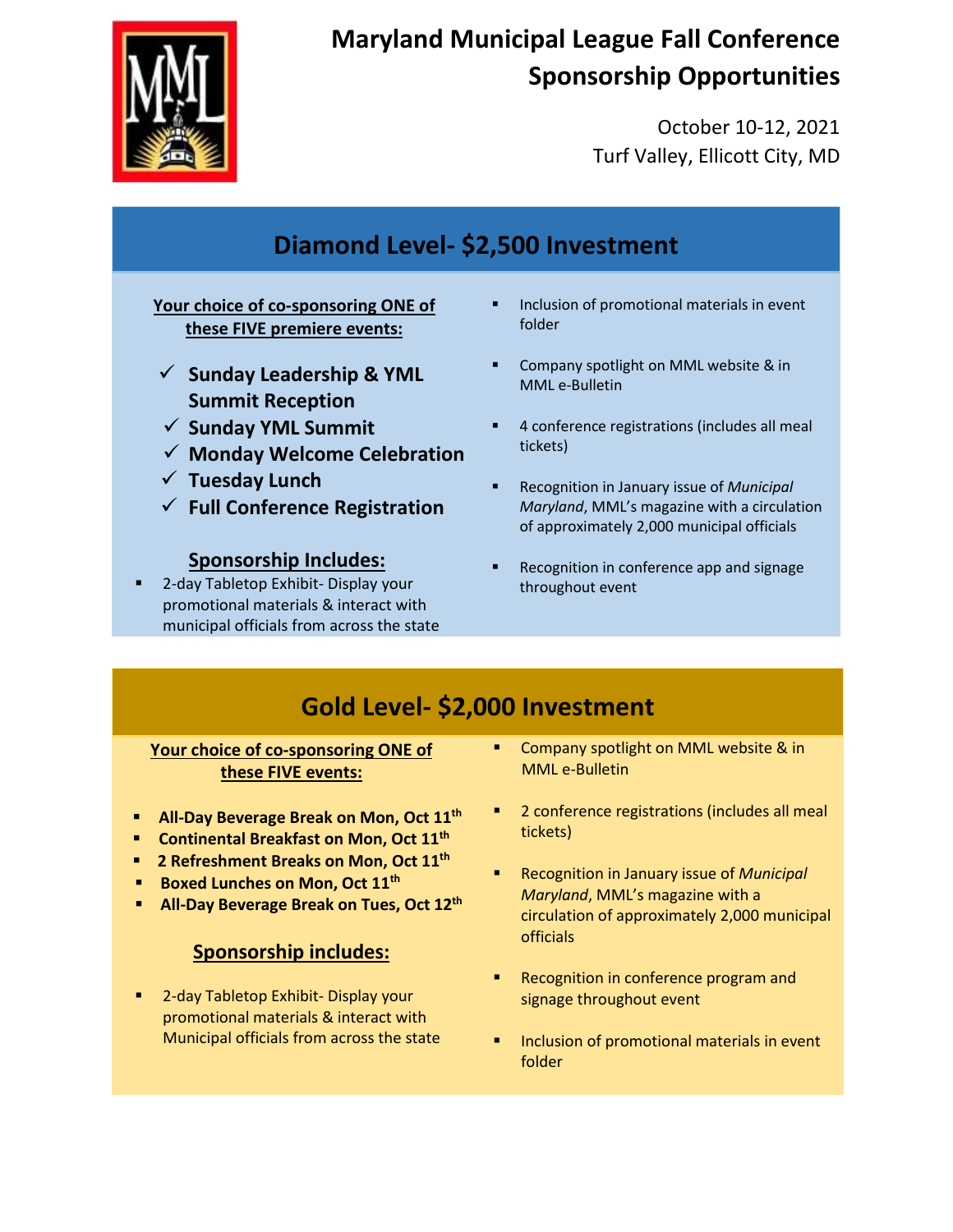

# **Maryland Municipal League Fall Conference Sponsorship Opportunities**

October 10-12, 2021 Turf Valley, Ellicott City, MD

## **Diamond Level- \$2,500 Investment**

#### **Your choice of co-sponsoring ONE of these FIVE premiere events:**

- **Sunday Leadership & YML Summit Reception**
- **Sunday YML Summit**
- **Monday Welcome Celebration**
- **Tuesday Lunch**
- **Full Conference Registration**

#### **Sponsorship Includes:**

 2-day Tabletop Exhibit- Display your promotional materials & interact with municipal officials from across the state

- Inclusion of promotional materials in event folder
- Company spotlight on MML website & in MML e-Bulletin
- 4 conference registrations (includes all meal tickets)
- Recognition in January issue of *Municipal Maryland*, MML's magazine with a circulation of approximately 2,000 municipal officials
- Recognition in conference app and signage throughout event

## **Gold Level- \$2,000 Investment**

#### **Your choice of co-sponsoring ONE of these FIVE events:**

- **All-Day Beverage Break on Mon, Oct 11th**
- **Continental Breakfast on Mon, Oct 11th**
- **2 Refreshment Breaks on Mon, Oct 11th**
- **Boxed Lunches on Mon, Oct 11<sup>th</sup>**
- **All-Day Beverage Break on Tues, Oct 12th**

### **Sponsorship includes:**

 2-day Tabletop Exhibit- Display your promotional materials & interact with Municipal officials from across the state

- Company spotlight on MML website & in MML e-Bulletin
- 2 conference registrations (includes all meal tickets)
- Recognition in January issue of *Municipal Maryland*, MML's magazine with a circulation of approximately 2,000 municipal officials
- Recognition in conference program and signage throughout event
- Inclusion of promotional materials in event folder